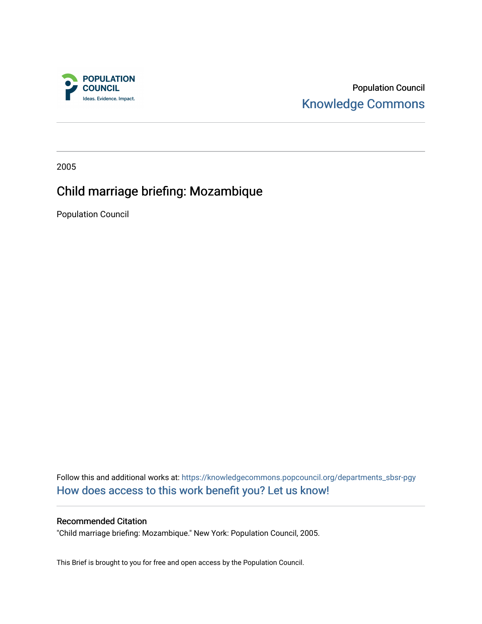

Population Council [Knowledge Commons](https://knowledgecommons.popcouncil.org/) 

2005

# Child marriage briefing: Mozambique

Population Council

Follow this and additional works at: [https://knowledgecommons.popcouncil.org/departments\\_sbsr-pgy](https://knowledgecommons.popcouncil.org/departments_sbsr-pgy?utm_source=knowledgecommons.popcouncil.org%2Fdepartments_sbsr-pgy%2F1324&utm_medium=PDF&utm_campaign=PDFCoverPages)  [How does access to this work benefit you? Let us know!](https://pcouncil.wufoo.com/forms/open-access-to-population-council-research/)

#### Recommended Citation

"Child marriage briefing: Mozambique." New York: Population Council, 2005.

This Brief is brought to you for free and open access by the Population Council.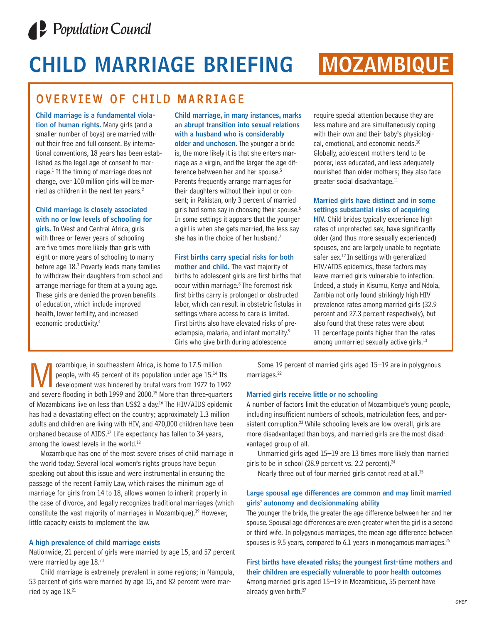

# **CHILD MARRIAGE BRIEFING MOZAMBIQUE**

## OVERVIEW OF CHILD MARRIAGE

**Child marriage is a fundamental violation of human rights.** Many girls (and a smaller number of boys) are married without their free and full consent. By international conventions, 18 years has been established as the legal age of consent to marriage. $<sup>1</sup>$  If the timing of marriage does not</sup> change, over 100 million girls will be married as children in the next ten years.<sup>2</sup>

### **Child marriage is closely associated with no or low levels of schooling for**

**girls.** In West and Central Africa, girls with three or fewer years of schooling are five times more likely than girls with eight or more years of schooling to marry before age 18.3 Poverty leads many families to withdraw their daughters from school and arrange marriage for them at a young age. These girls are denied the proven benefits of education, which include improved health, lower fertility, and increased economic productivity.4

**Child marriage, in many instances, marks an abrupt transition into sexual relations with a husband who is considerably older and unchosen.** The younger a bride is, the more likely it is that she enters marriage as a virgin, and the larger the age difference between her and her spouse.5 Parents frequently arrange marriages for their daughters without their input or consent; in Pakistan, only 3 percent of married girls had some say in choosing their spouse.<sup>6</sup> In some settings it appears that the younger a girl is when she gets married, the less say she has in the choice of her husband.<sup>7</sup>

#### **First births carry special risks for both**

**mother and child.** The vast majority of births to adolescent girls are first births that occur within marriage. <sup>8</sup> The foremost risk first births carry is prolonged or obstructed labor, which can result in obstetric fistulas in settings where access to care is limited. First births also have elevated risks of preeclampsia, malaria, and infant mortality.<sup>9</sup> Girls who give birth during adolescence

require special attention because they are less mature and are simultaneously coping with their own and their baby's physiological, emotional, and economic needs.<sup>10</sup> Globally, adolescent mothers tend to be poorer, less educated, and less adequately nourished than older mothers; they also face greater social disadvantage.<sup>11</sup>

#### **Married girls have distinct and in some settings substantial risks of acquiring**

**HIV.** Child brides typically experience high rates of unprotected sex, have significantly older (and thus more sexually experienced) spouses, and are largely unable to negotiate safer sex.<sup>12</sup> In settings with generalized HIV/AIDS epidemics, these factors may leave married girls vulnerable to infection. Indeed, a study in Kisumu, Kenya and Ndola, Zambia not only found strikingly high HIV prevalence rates among married girls (32.9 percent and 27.3 percent respectively), but also found that these rates were about 11 percentage points higher than the rates among unmarried sexually active girls.<sup>13</sup>

Ozambique, in southeastern Africa, is home to 17.5 million<br>people, with 45 percent of its population under age 15.<sup>14</sup> If<br>development was hindered by brutal wars from 1977 to 19<br>and severe flooding in both 1999 and 2000.<sup>1</sup> people, with 45 percent of its population under age 15.14 Its development was hindered by brutal wars from 1977 to 1992 and severe flooding in both 1999 and 2000.<sup>15</sup> More than three-quarters of Mozambicans live on less than US\$2 a day.<sup>16</sup> The HIV/AIDS epidemic has had a devastating effect on the country; approximately 1.3 million adults and children are living with HIV, and 470,000 children have been orphaned because of AIDS. $17$  Life expectancy has fallen to 34 years, among the lowest levels in the world.<sup>18</sup>

Mozambique has one of the most severe crises of child marriage in the world today. Several local women's rights groups have begun speaking out about this issue and were instrumental in ensuring the passage of the recent Family Law, which raises the minimum age of marriage for girls from 14 to 18, allows women to inherit property in the case of divorce, and legally recognizes traditional marriages (which constitute the vast majority of marriages in Mozambique).<sup>19</sup> However, little capacity exists to implement the law.

#### **A high prevalence of child marriage exists**

Nationwide, 21 percent of girls were married by age 15, and 57 percent were married by age 18.20

Child marriage is extremely prevalent in some regions; in Nampula, 53 percent of girls were married by age 15, and 82 percent were married by age 18.<sup>21</sup>

Some 19 percent of married girls aged 15–19 are in polygynous marriages.<sup>22</sup>

#### **Married girls receive little or no schooling**

A number of factors limit the education of Mozambique's young people, including insufficient numbers of schools, matriculation fees, and persistent corruption.<sup>23</sup> While schooling levels are low overall, girls are more disadvantaged than boys, and married girls are the most disadvantaged group of all.

Unmarried girls aged 15–19 are 13 times more likely than married girls to be in school (28.9 percent vs. 2.2 percent). $^{24}$ 

Nearly three out of four married girls cannot read at all.<sup>25</sup>

#### **Large spousal age differences are common and may limit married girls' autonomy and decisionmaking ability**

The younger the bride, the greater the age difference between her and her spouse. Spousal age differences are even greater when the girl is a second or third wife. In polygynous marriages, the mean age difference between spouses is 9.5 years, compared to 6.1 years in monogamous marriages.<sup>26</sup>

**First births have elevated risks; the youngest first-time mothers and their children are especially vulnerable to poor health outcomes** Among married girls aged 15–19 in Mozambique, 55 percent have already given birth.<sup>27</sup>